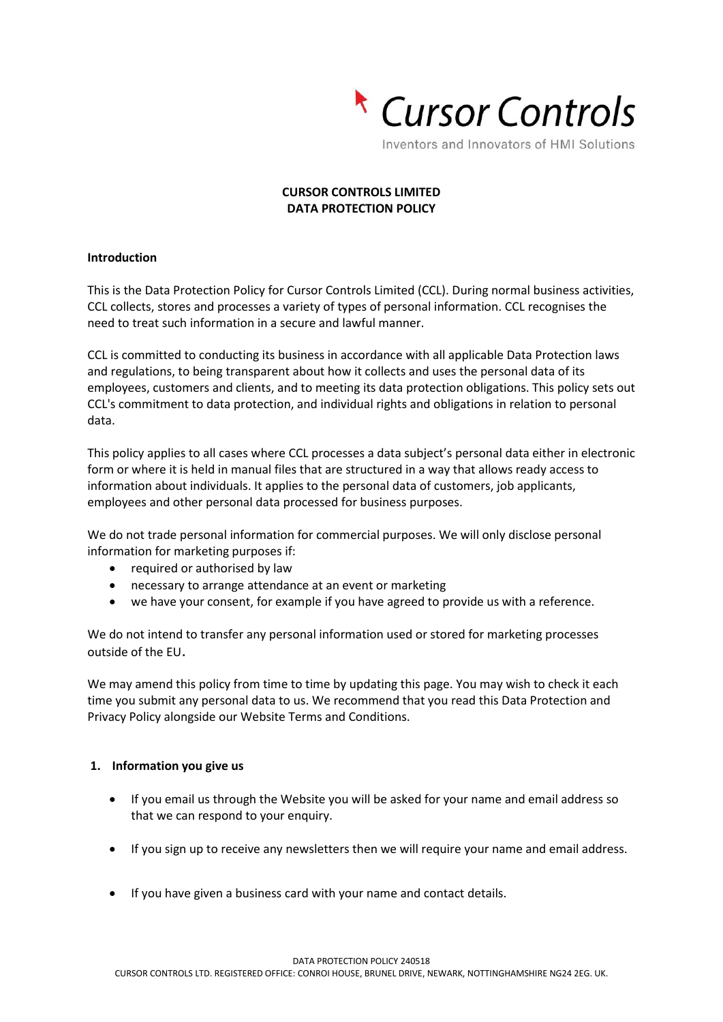

# **CURSOR CONTROLS LIMITED DATA PROTECTION POLICY**

### **Introduction**

This is the Data Protection Policy for Cursor Controls Limited (CCL). During normal business activities, CCL collects, stores and processes a variety of types of personal information. CCL recognises the need to treat such information in a secure and lawful manner.

CCL is committed to conducting its business in accordance with all applicable Data Protection laws and regulations, to being transparent about how it collects and uses the personal data of its employees, customers and clients, and to meeting its data protection obligations. This policy sets out CCL's commitment to data protection, and individual rights and obligations in relation to personal data.

This policy applies to all cases where CCL processes a data subject's personal data either in electronic form or where it is held in manual files that are structured in a way that allows ready access to information about individuals. It applies to the personal data of customers, job applicants, employees and other personal data processed for business purposes.

We do not trade personal information for commercial purposes. We will only disclose personal information for marketing purposes if:

- required or authorised by law
- necessary to arrange attendance at an event or marketing
- we have your consent, for example if you have agreed to provide us with a reference.

We do not intend to transfer any personal information used or stored for marketing processes outside of the EU.

We may amend this policy from time to time by updating this page. You may wish to check it each time you submit any personal data to us. We recommend that you read this Data Protection and Privacy Policy alongside our Website Terms and Conditions.

### **1. Information you give us**

- If you email us through the Website you will be asked for your name and email address so that we can respond to your enquiry.
- If you sign up to receive any newsletters then we will require your name and email address.
- If you have given a business card with your name and contact details.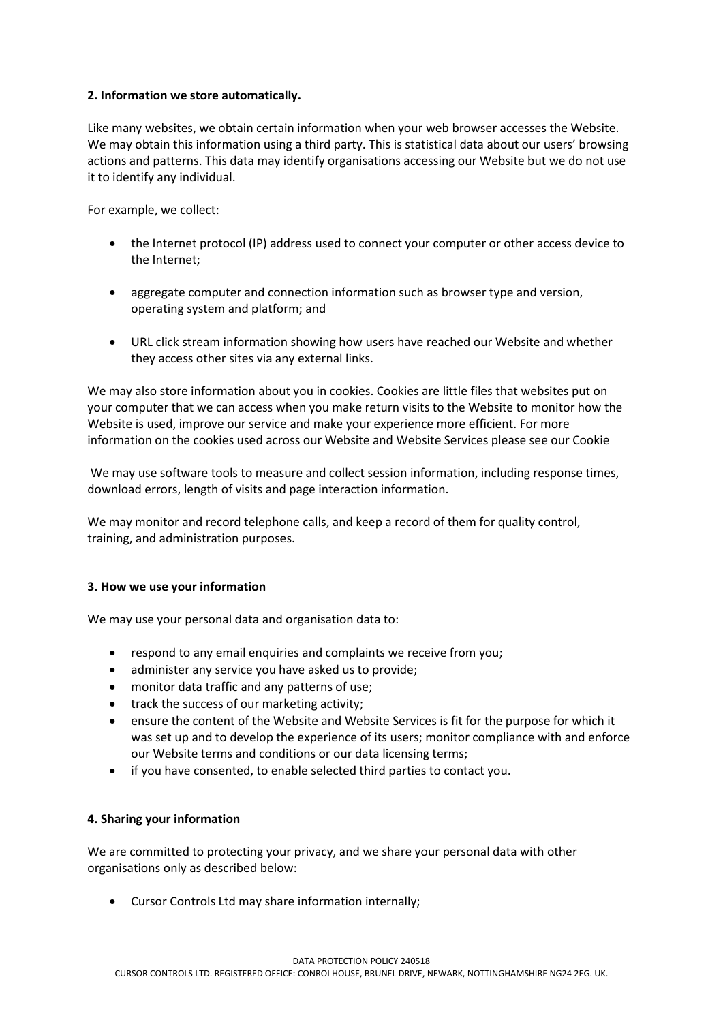# **2. Information we store automatically.**

Like many websites, we obtain certain information when your web browser accesses the Website. We may obtain this information using a third party. This is statistical data about our users' browsing actions and patterns. This data may identify organisations accessing our Website but we do not use it to identify any individual.

For example, we collect:

- the Internet protocol (IP) address used to connect your computer or other access device to the Internet;
- aggregate computer and connection information such as browser type and version, operating system and platform; and
- URL click stream information showing how users have reached our Website and whether they access other sites via any external links.

We may also store information about you in cookies. Cookies are little files that websites put on your computer that we can access when you make return visits to the Website to monitor how the Website is used, improve our service and make your experience more efficient. For more information on the cookies used across our Website and Website Services please see our Cookie

We may use software tools to measure and collect session information, including response times, download errors, length of visits and page interaction information.

We may monitor and record telephone calls, and keep a record of them for quality control, training, and administration purposes.

### **3. How we use your information**

We may use your personal data and organisation data to:

- respond to any email enquiries and complaints we receive from you;
- administer any service you have asked us to provide;
- monitor data traffic and any patterns of use;
- track the success of our marketing activity;
- ensure the content of the Website and Website Services is fit for the purpose for which it was set up and to develop the experience of its users; monitor compliance with and enforce our Website terms and conditions or our data licensing terms;
- if you have consented, to enable selected third parties to contact you.

### **4. Sharing your information**

We are committed to protecting your privacy, and we share your personal data with other organisations only as described below:

• Cursor Controls Ltd may share information internally;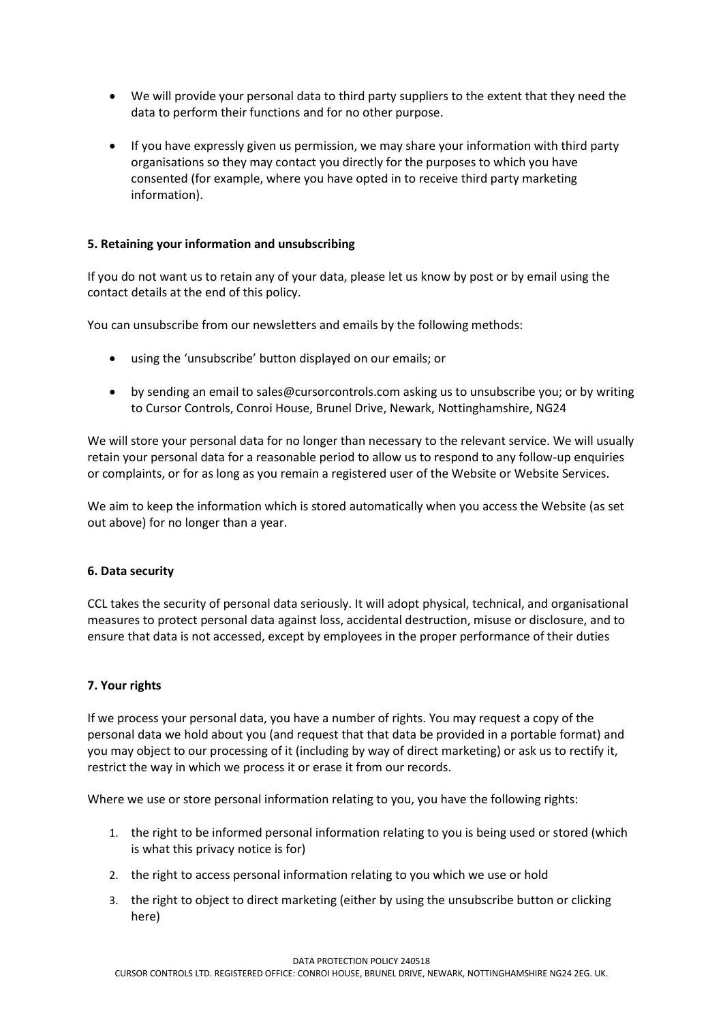- We will provide your personal data to third party suppliers to the extent that they need the data to perform their functions and for no other purpose.
- If you have expressly given us permission, we may share your information with third party organisations so they may contact you directly for the purposes to which you have consented (for example, where you have opted in to receive third party marketing information).

# **5. Retaining your information and unsubscribing**

If you do not want us to retain any of your data, please let us know by post or by email using the contact details at the end of this policy.

You can unsubscribe from our newsletters and emails by the following methods:

- using the 'unsubscribe' button displayed on our emails; or
- by sending an email to [sales@cursorcontrols.com](mailto:sales@cursorcontrols.com) asking us to unsubscribe you; or by writing to Cursor Controls, Conroi House, Brunel Drive, Newark, Nottinghamshire, NG24

We will store your personal data for no longer than necessary to the relevant service. We will usually retain your personal data for a reasonable period to allow us to respond to any follow-up enquiries or complaints, or for as long as you remain a registered user of the Website or Website Services.

We aim to keep the information which is stored automatically when you access the Website (as set out above) for no longer than a year.

### **6. Data security**

CCL takes the security of personal data seriously. It will adopt physical, technical, and organisational measures to protect personal data against loss, accidental destruction, misuse or disclosure, and to ensure that data is not accessed, except by employees in the proper performance of their duties

### **7. Your rights**

If we process your personal data, you have a number of rights. You may request a copy of the personal data we hold about you (and request that that data be provided in a portable format) and you may object to our processing of it (including by way of direct marketing) or ask us to rectify it, restrict the way in which we process it or erase it from our records.

Where we use or store personal information relating to you, you have the following rights:

- 1. the right to be informed personal information relating to you is being used or stored (which is what this privacy notice is for)
- 2. the right to access personal information relating to you which we use or hold
- 3. the right to object to direct marketing (either by using the unsubscribe button or clicking here)